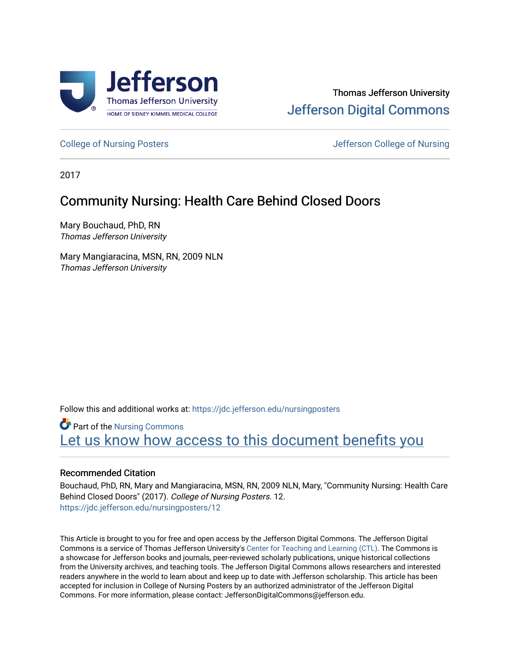

#### Thomas Jefferson University [Jefferson Digital Commons](https://jdc.jefferson.edu/)

[College of Nursing Posters](https://jdc.jefferson.edu/nursingposters) **College of Nursing Posters** All the Unit of Nursing College of Nursing

2017

#### Community Nursing: Health Care Behind Closed Doors

Mary Bouchaud, PhD, RN Thomas Jefferson University

Mary Mangiaracina, MSN, RN, 2009 NLN Thomas Jefferson University

Follow this and additional works at: [https://jdc.jefferson.edu/nursingposters](https://jdc.jefferson.edu/nursingposters?utm_source=jdc.jefferson.edu%2Fnursingposters%2F12&utm_medium=PDF&utm_campaign=PDFCoverPages) 

**Part of the Nursing Commons** Let us know how access to this document benefits you

#### Recommended Citation

Bouchaud, PhD, RN, Mary and Mangiaracina, MSN, RN, 2009 NLN, Mary, "Community Nursing: Health Care Behind Closed Doors" (2017). College of Nursing Posters. 12. [https://jdc.jefferson.edu/nursingposters/12](https://jdc.jefferson.edu/nursingposters/12?utm_source=jdc.jefferson.edu%2Fnursingposters%2F12&utm_medium=PDF&utm_campaign=PDFCoverPages) 

This Article is brought to you for free and open access by the Jefferson Digital Commons. The Jefferson Digital Commons is a service of Thomas Jefferson University's [Center for Teaching and Learning \(CTL\)](http://www.jefferson.edu/university/teaching-learning.html/). The Commons is a showcase for Jefferson books and journals, peer-reviewed scholarly publications, unique historical collections from the University archives, and teaching tools. The Jefferson Digital Commons allows researchers and interested readers anywhere in the world to learn about and keep up to date with Jefferson scholarship. This article has been accepted for inclusion in College of Nursing Posters by an authorized administrator of the Jefferson Digital Commons. For more information, please contact: JeffersonDigitalCommons@jefferson.edu.